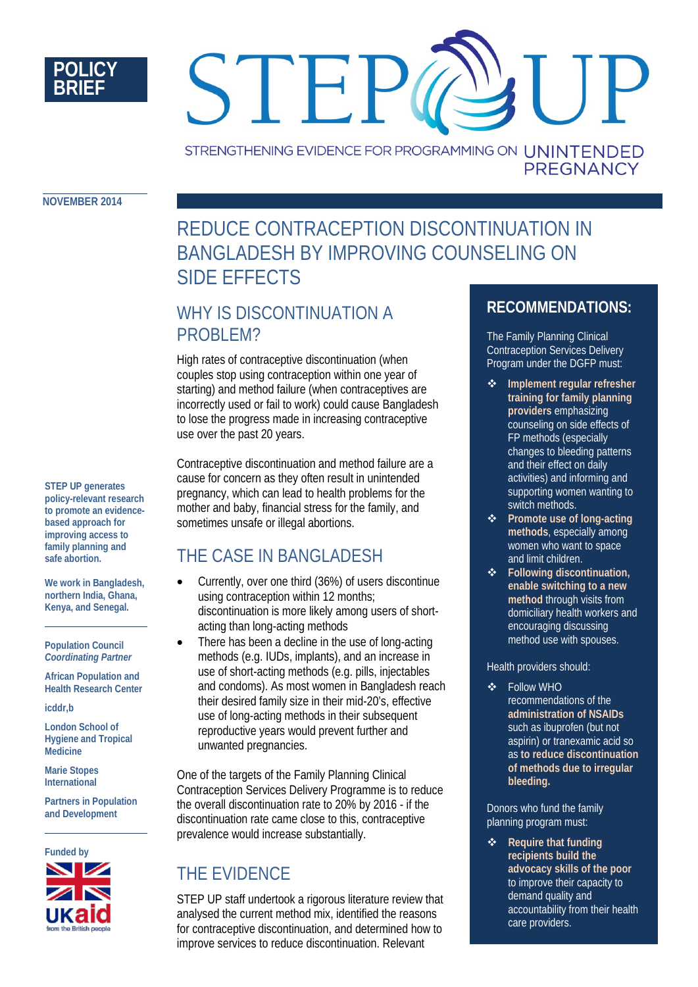

# STEI STRENGTHENING EVIDENCE FOR PROGRAMMING ON UNINTENDED

**NOVEMBER 2014**

# REDUCE CONTRACEPTION DISCONTINUATION IN BANGLADESH BY IMPROVING COUNSELING ON SIDE EFFECTS

## WHY IS DISCONTINUATION A PROBLEM?

High rates of contraceptive discontinuation (when couples stop using contraception within one year of starting) and method failure (when contraceptives are incorrectly used or fail to work) could cause Bangladesh to lose the progress made in increasing contraceptive use over the past 20 years.

Contraceptive discontinuation and method failure are a cause for concern as they often result in unintended pregnancy, which can lead to health problems for the mother and baby, financial stress for the family, and sometimes unsafe or illegal abortions.

# THE CASE IN BANGLADESH

- Currently, over one third (36%) of users discontinue using contraception within 12 months; discontinuation is more likely among users of shortacting than long-acting methods
	- There has been a decline in the use of long-acting methods (e.g. IUDs, implants), and an increase in use of short-acting methods (e.g. pills, injectables and condoms). As most women in Bangladesh reach their desired family size in their mid-20's, effective use of long-acting methods in their subsequent reproductive years would prevent further and unwanted pregnancies.

One of the targets of the Family Planning Clinical Contraception Services Delivery Programme is to reduce the overall discontinuation rate to 20% by 2016 - if the discontinuation rate came close to this, contraceptive prevalence would increase substantially.

# THE EVIDENCE

STEP UP staff undertook a rigorous literature review that analysed the current method mix, identified the reasons for contraceptive discontinuation, and determined how to improve services to reduce discontinuation. Relevant

### **RECOMMENDATIONS:**

**PREGNANCY** 

The Family Planning Clinical Contraception Services Delivery Program under the DGFP must:

- **Implement regular refresher training for family planning providers** emphasizing counseling on side effects of FP methods (especially changes to bleeding patterns and their effect on daily activities) and informing and supporting women wanting to switch methods.
- **Promote use of long-acting methods**, especially among women who want to space and limit children.
- **Following discontinuation, enable switching to a new method** through visits from domiciliary health workers and encouraging discussing method use with spouses.

#### Health providers should:

 Follow WHO recommendations of the **administration of NSAIDs** such as ibuprofen (but not aspirin) or tranexamic acid so as **to reduce discontinuation of methods due to irregular bleeding.**

Donors who fund the family planning program must:

**❖** Require that funding **recipients build the advocacy skills of the poor** to improve their capacity to demand quality and accountability from their health care providers.

**STEP UP generates policy-relevant research to promote an evidencebased approach for improving access to family planning and safe abortion.** 

**We work in Bangladesh, northern India, Ghana, Kenya, and Senegal.**

**Population Council** *Coordinating Partner*

**African Population and Health Research Center**

**icddr,b**

**London School of Hygiene and Tropical Medicine**

**Marie Stopes International**

**Partners in Population and Development**